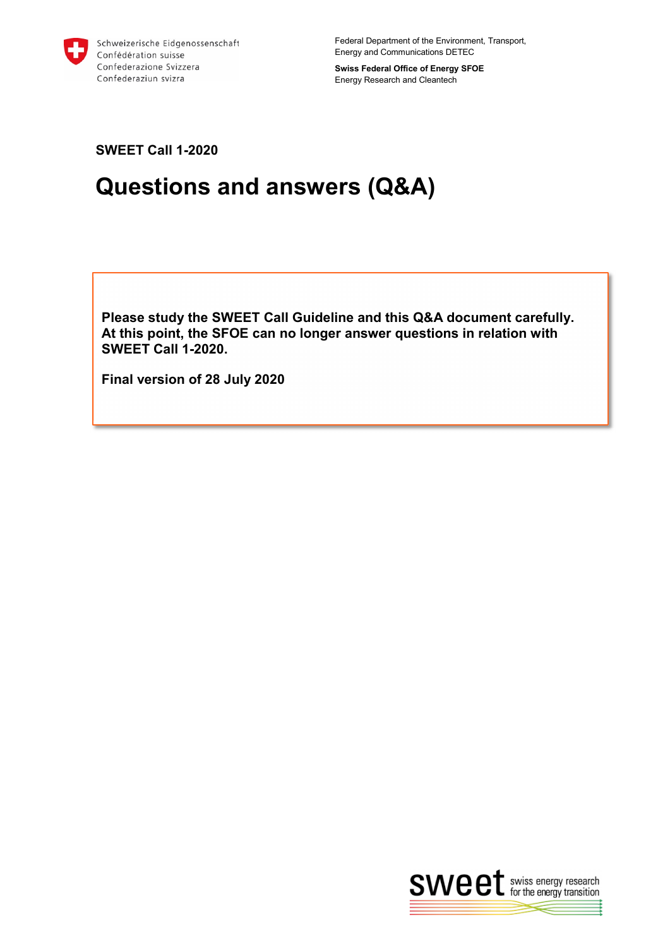

Federal Department of the Environment, Transport, Energy and Communications DETEC

**Swiss Federal Office of Energy SFOE** Energy Research and Cleantech

**SWEET Call 1-2020**

# **Questions and answers (Q&A)**

**Please study the SWEET Call Guideline and this Q&A document carefully. At this point, the SFOE can no longer answer questions in relation with SWEET Call 1-2020.** 

**Final version of 28 July 2020**

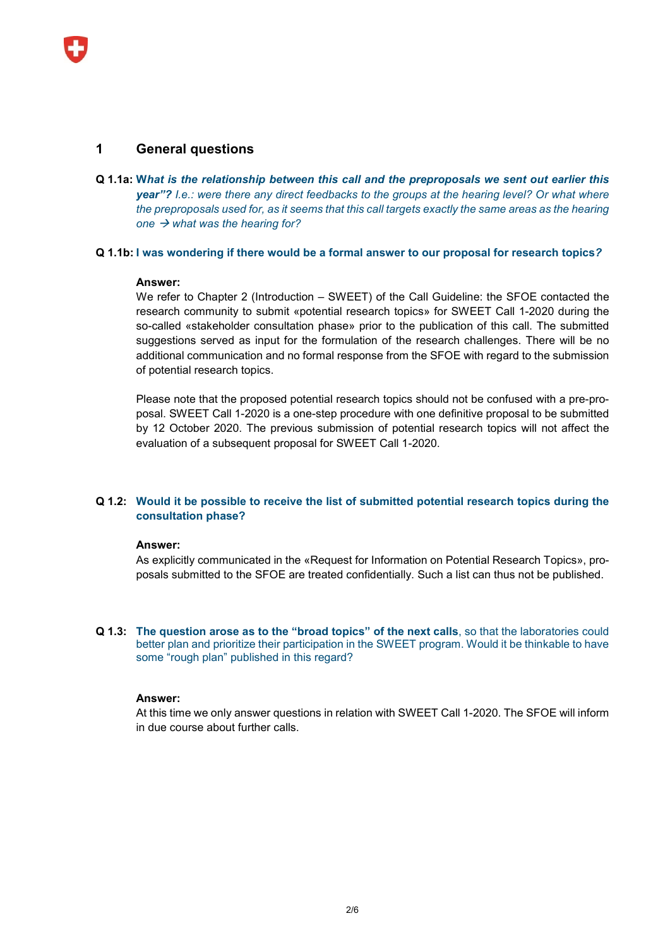## **1 General questions**

**Q 1.1a: W***hat is the relationship between this call and the preproposals we sent out earlier this year"? I.e.: were there any direct feedbacks to the groups at the hearing level? Or what where the preproposals used for, as it seems that this call targets exactly the same areas as the hearing*  one  $\rightarrow$  what was the hearing for?

#### **Q 1.1b: I was wondering if there would be a formal answer to our proposal for research topics***?*

#### **Answer:**

We refer to Chapter 2 (Introduction – SWEET) of the Call Guideline: the SFOE contacted the research community to submit «potential research topics» for SWEET Call 1-2020 during the so-called «stakeholder consultation phase» prior to the publication of this call. The submitted suggestions served as input for the formulation of the research challenges. There will be no additional communication and no formal response from the SFOE with regard to the submission of potential research topics.

Please note that the proposed potential research topics should not be confused with a pre-proposal. SWEET Call 1-2020 is a one-step procedure with one definitive proposal to be submitted by 12 October 2020. The previous submission of potential research topics will not affect the evaluation of a subsequent proposal for SWEET Call 1-2020.

## **Q 1.2: Would it be possible to receive the list of submitted potential research topics during the consultation phase?**

#### **Answer:**

As explicitly communicated in the «Request for Information on Potential Research Topics», proposals submitted to the SFOE are treated confidentially. Such a list can thus not be published.

**Q 1.3: The question arose as to the "broad topics" of the next calls**, so that the laboratories could better plan and prioritize their participation in the SWEET program. Would it be thinkable to have some "rough plan" published in this regard?

#### **Answer:**

At this time we only answer questions in relation with SWEET Call 1-2020. The SFOE will inform in due course about further calls.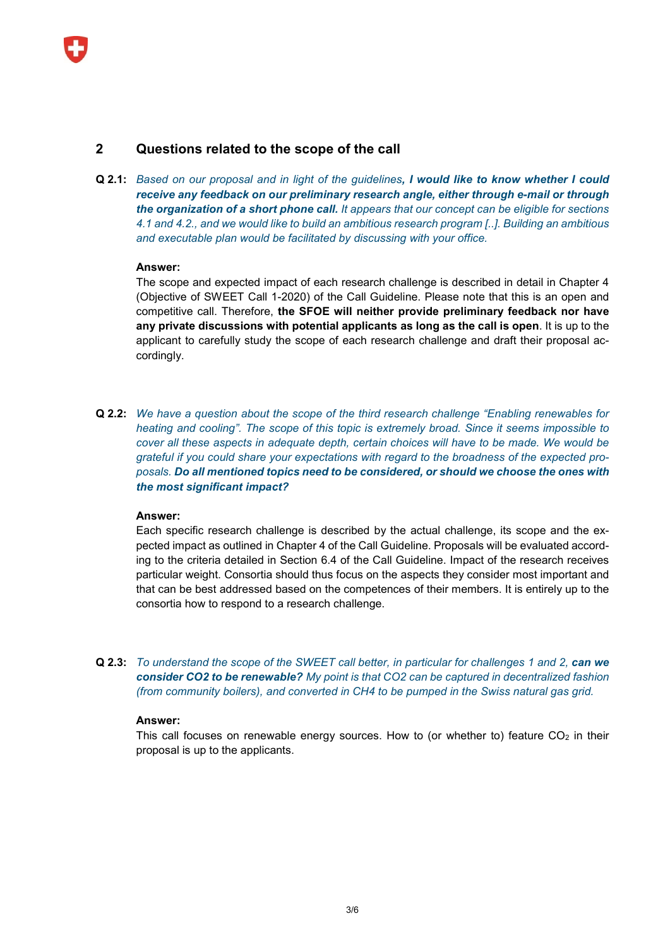# **2 Questions related to the scope of the call**

**Q 2.1:** *Based on our proposal and in light of the guidelines, I would like to know whether I could receive any feedback on our preliminary research angle, either through e-mail or through the organization of a short phone call. It appears that our concept can be eligible for sections 4.1 and 4.2., and we would like to build an ambitious research program [..]. Building an ambitious and executable plan would be facilitated by discussing with your office.*

#### **Answer:**

The scope and expected impact of each research challenge is described in detail in Chapter 4 (Objective of SWEET Call 1-2020) of the Call Guideline. Please note that this is an open and competitive call. Therefore, **the SFOE will neither provide preliminary feedback nor have any private discussions with potential applicants as long as the call is open**. It is up to the applicant to carefully study the scope of each research challenge and draft their proposal accordingly.

**Q 2.2:** *We have a question about the scope of the third research challenge "Enabling renewables for heating and cooling". The scope of this topic is extremely broad. Since it seems impossible to cover all these aspects in adequate depth, certain choices will have to be made. We would be grateful if you could share your expectations with regard to the broadness of the expected proposals. Do all mentioned topics need to be considered, or should we choose the ones with the most significant impact?*

#### **Answer:**

Each specific research challenge is described by the actual challenge, its scope and the expected impact as outlined in Chapter 4 of the Call Guideline. Proposals will be evaluated according to the criteria detailed in Section 6.4 of the Call Guideline. Impact of the research receives particular weight. Consortia should thus focus on the aspects they consider most important and that can be best addressed based on the competences of their members. It is entirely up to the consortia how to respond to a research challenge.

**Q 2.3:** *To understand the scope of the SWEET call better, in particular for challenges 1 and 2, can we consider CO2 to be renewable? My point is that CO2 can be captured in decentralized fashion (from community boilers), and converted in CH4 to be pumped in the Swiss natural gas grid.*

## **Answer:**

This call focuses on renewable energy sources. How to (or whether to) feature  $CO<sub>2</sub>$  in their proposal is up to the applicants.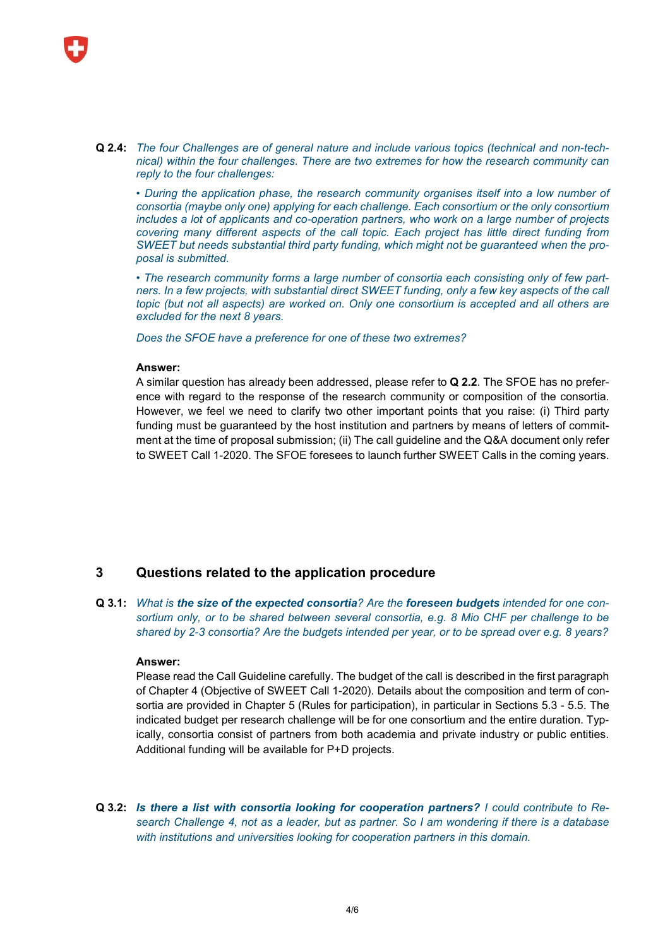

**Q 2.4:** *The four Challenges are of general nature and include various topics (technical and non-technical) within the four challenges. There are two extremes for how the research community can reply to the four challenges:*

*• During the application phase, the research community organises itself into a low number of consortia (maybe only one) applying for each challenge. Each consortium or the only consortium includes a lot of applicants and co-operation partners, who work on a large number of projects covering many different aspects of the call topic. Each project has little direct funding from SWEET but needs substantial third party funding, which might not be guaranteed when the proposal is submitted.*

*• The research community forms a large number of consortia each consisting only of few part*ners. In a few projects, with substantial direct SWEET funding, only a few key aspects of the call *topic (but not all aspects) are worked on. Only one consortium is accepted and all others are excluded for the next 8 years.*

*Does the SFOE have a preference for one of these two extremes?*

#### **Answer:**

A similar question has already been addressed, please refer to **Q 2.2**. The SFOE has no preference with regard to the response of the research community or composition of the consortia. However, we feel we need to clarify two other important points that you raise: (i) Third party funding must be guaranteed by the host institution and partners by means of letters of commitment at the time of proposal submission; (ii) The call guideline and the Q&A document only refer to SWEET Call 1-2020. The SFOE foresees to launch further SWEET Calls in the coming years.

# **3 Questions related to the application procedure**

**Q 3.1:** *What is the size of the expected consortia? Are the foreseen budgets intended for one consortium only, or to be shared between several consortia, e.g. 8 Mio CHF per challenge to be shared by 2-3 consortia? Are the budgets intended per year, or to be spread over e.g. 8 years?*

#### **Answer:**

Please read the Call Guideline carefully. The budget of the call is described in the first paragraph of Chapter 4 (Objective of SWEET Call 1-2020). Details about the composition and term of consortia are provided in Chapter 5 (Rules for participation), in particular in Sections 5.3 - 5.5. The indicated budget per research challenge will be for one consortium and the entire duration. Typically, consortia consist of partners from both academia and private industry or public entities. Additional funding will be available for P+D projects.

**Q 3.2:** *Is there a list with consortia looking for cooperation partners? I could contribute to Research Challenge 4, not as a leader, but as partner. So I am wondering if there is a database with institutions and universities looking for cooperation partners in this domain.*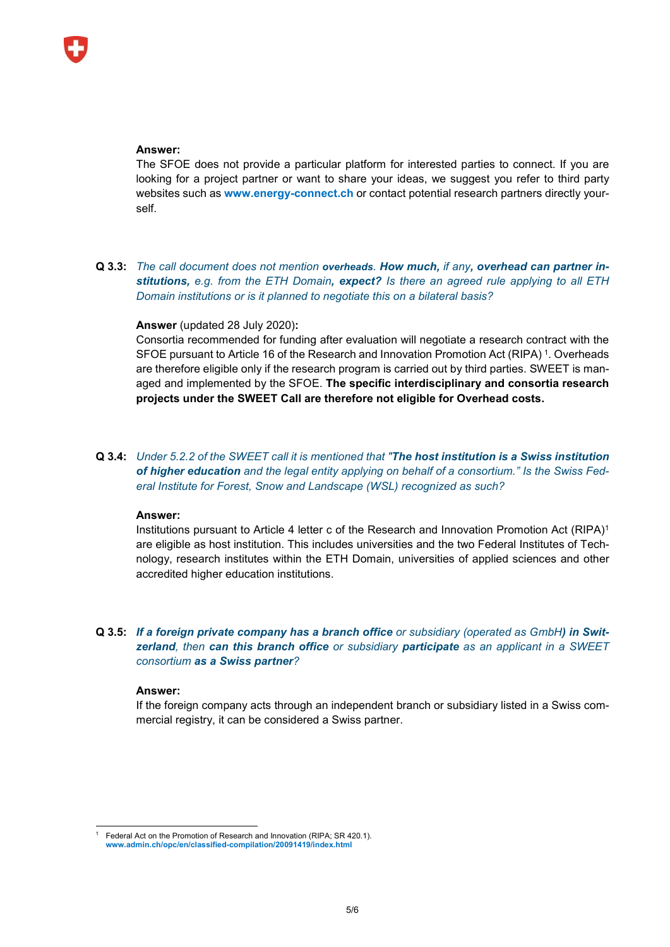#### **Answer:**

The SFOE does not provide a particular platform for interested parties to connect. If you are looking for a project partner or want to share your ideas, we suggest you refer to third party websites such as **[www.energy-connect.ch](http://www.energy-connect.ch/)** or contact potential research partners directly yourself.

**Q 3.3:** *The call document does not mention overheads. How much, if any, overhead can partner institutions, e.g. from the ETH Domain, expect? Is there an agreed rule applying to all ETH Domain institutions or is it planned to negotiate this on a bilateral basis?*

### **Answer** (updated 28 July 2020)**:**

Consortia recommended for funding after evaluation will negotiate a research contract with the SFOE pursuant to Article 16 of the Research and Innovation Promotion Act (RIPA) [1](#page-4-0). Overheads are therefore eligible only if the research program is carried out by third parties. SWEET is managed and implemented by the SFOE. **The specific interdisciplinary and consortia research projects under the SWEET Call are therefore not eligible for Overhead costs.**

## **Q 3.4:** *Under 5.2.2 of the SWEET call it is mentioned that "The host institution is a Swiss institution of higher education and the legal entity applying on behalf of a consortium." Is the Swiss Federal Institute for Forest, Snow and Landscape (WSL) recognized as such?*

#### **Answer:**

Institutions pursuant to Article 4 letter c of the Research and Innovation Promotion Act (RIPA)<sup>1</sup> are eligible as host institution. This includes universities and the two Federal Institutes of Technology, research institutes within the ETH Domain, universities of applied sciences and other accredited higher education institutions.

## **Q 3.5:** *If a foreign private company has a branch office or subsidiary (operated as GmbH) in Switzerland, then can this branch office or subsidiary participate as an applicant in a SWEET consortium as a Swiss partner?*

#### **Answer:**

If the foreign company acts through an independent branch or subsidiary listed in a Swiss commercial registry, it can be considered a Swiss partner.

<span id="page-4-0"></span>Federal Act on the Promotion of Research and Innovation (RIPA; SR 420.1). **[www.admin.ch/opc/en/classified-compilation/20091419/index.html](http://www.admin.ch/opc/en/classified-compilation/20091419/index.html)**